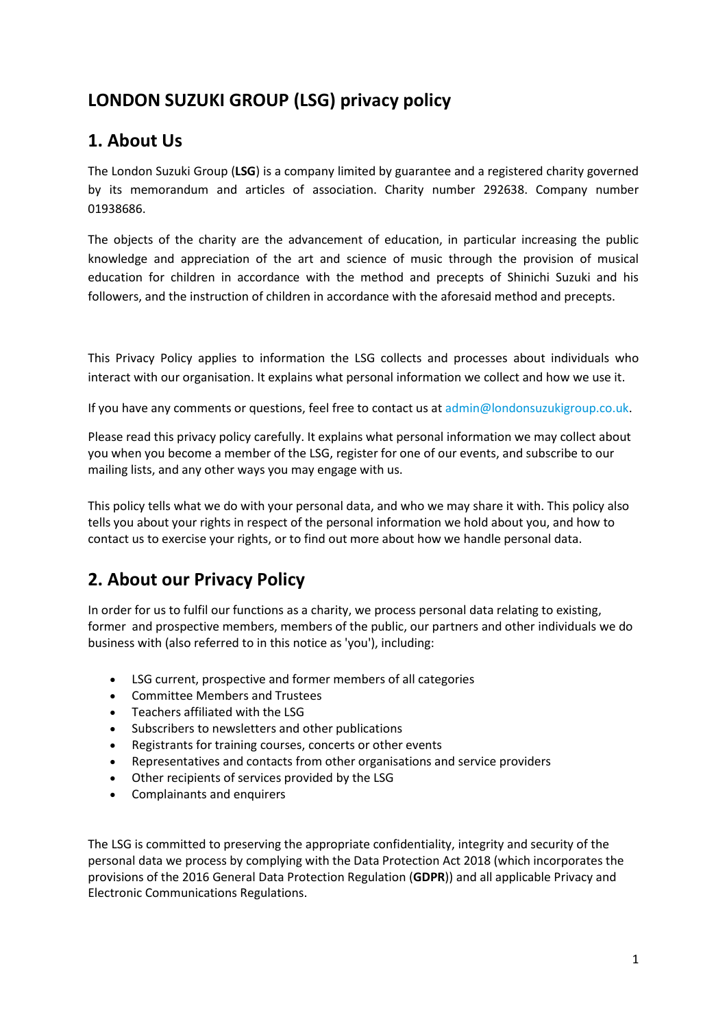# **LONDON SUZUKI GROUP (LSG) privacy policy**

## **1. About Us**

The London Suzuki Group (**LSG**) is a company limited by guarantee and a registered charity governed by its memorandum and articles of association. Charity number 292638. Company number 01938686.

The objects of the charity are the advancement of education, in particular increasing the public knowledge and appreciation of the art and science of music through the provision of musical education for children in accordance with the method and precepts of Shinichi Suzuki and his followers, and the instruction of children in accordance with the aforesaid method and precepts.

This Privacy Policy applies to information the LSG collects and processes about individuals who interact with our organisation. It explains what personal information we collect and how we use it.

If you have any comments or questions, feel free to contact us a[t admin@londonsuzukigroup.co.uk.](mailto:admin@londonsuzukigroup.co.uk)

Please read this privacy policy carefully. It explains what personal information we may collect about you when you become a member of the LSG, register for one of our events, and subscribe to our mailing lists, and any other ways you may engage with us.

This policy tells what we do with your personal data, and who we may share it with. This policy also tells you about your rights in respect of the personal information we hold about you, and how to contact us to exercise your rights, or to find out more about how we handle personal data.

# **2. About our Privacy Policy**

In order for us to fulfil our functions as a charity, we process personal data relating to existing, former and prospective members, members of the public, our partners and other individuals we do business with (also referred to in this notice as 'you'), including:

- LSG current, prospective and former members of all categories
- Committee Members and Trustees
- Teachers affiliated with the LSG
- Subscribers to newsletters and other publications
- Registrants for training courses, concerts or other events
- Representatives and contacts from other organisations and service providers
- Other recipients of services provided by the LSG
- Complainants and enquirers

The LSG is committed to preserving the appropriate confidentiality, integrity and security of the personal data we process by complying with the Data Protection Act 2018 (which incorporates the provisions of the 2016 General Data Protection Regulation (**GDPR**)) and all applicable Privacy and Electronic Communications Regulations.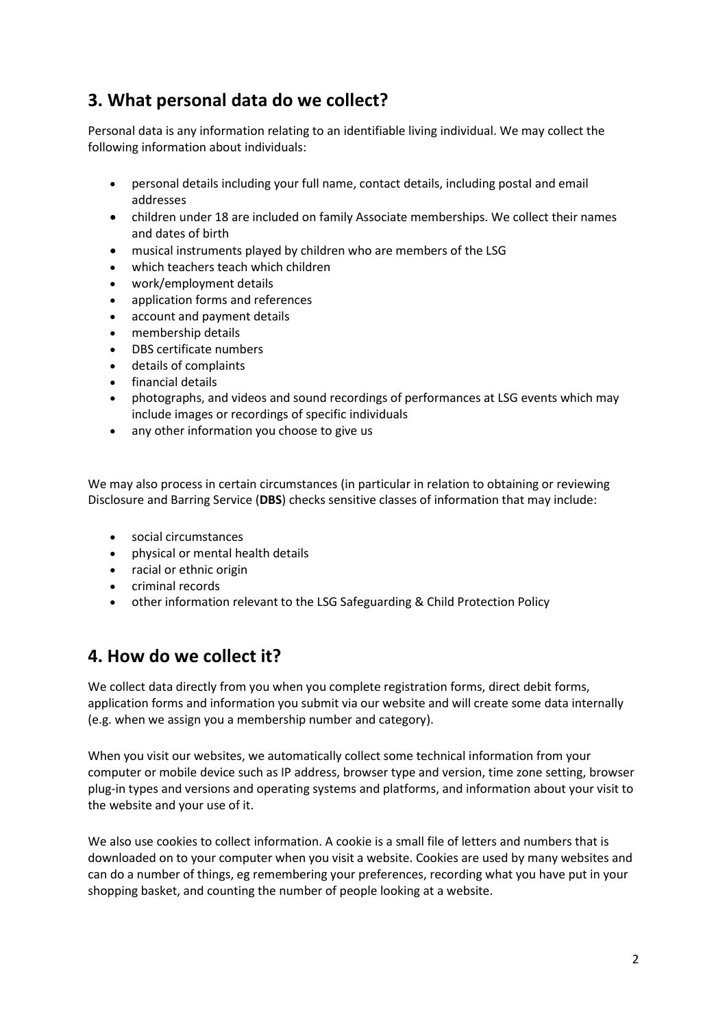# **3. What personal data do we collect?**

Personal data is any information relating to an identifiable living individual. We may collect the following information about individuals:

- personal details including your full name, contact details, including postal and email addresses
- children under 18 are included on family Associate memberships. We collect their names and dates of birth
- musical instruments played by children who are members of the LSG
- which teachers teach which children
- work/employment details
- application forms and references
- account and payment details
- membership details
- DBS certificate numbers
- details of complaints
- **•** financial details
- photographs, and videos and sound recordings of performances at LSG events which may include images or recordings of specific individuals
- any other information you choose to give us

We may also process in certain circumstances (in particular in relation to obtaining or reviewing Disclosure and Barring Service (**DBS**) checks sensitive classes of information that may include:

- social circumstances
- physical or mental health details
- racial or ethnic origin
- criminal records
- other information relevant to the LSG Safeguarding & Child Protection Policy

#### **4. How do we collect it?**

We collect data directly from you when you complete registration forms, direct debit forms, application forms and information you submit via our website and will create some data internally (e.g. when we assign you a membership number and category).

When you visit our websites, we automatically collect some technical information from your computer or mobile device such as IP address, browser type and version, time zone setting, browser plug-in types and versions and operating systems and platforms, and information about your visit to the website and your use of it.

We also use cookies to collect information. A cookie is a small file of letters and numbers that is downloaded on to your computer when you visit a website. Cookies are used by many websites and can do a number of things, eg remembering your preferences, recording what you have put in your shopping basket, and counting the number of people looking at a website.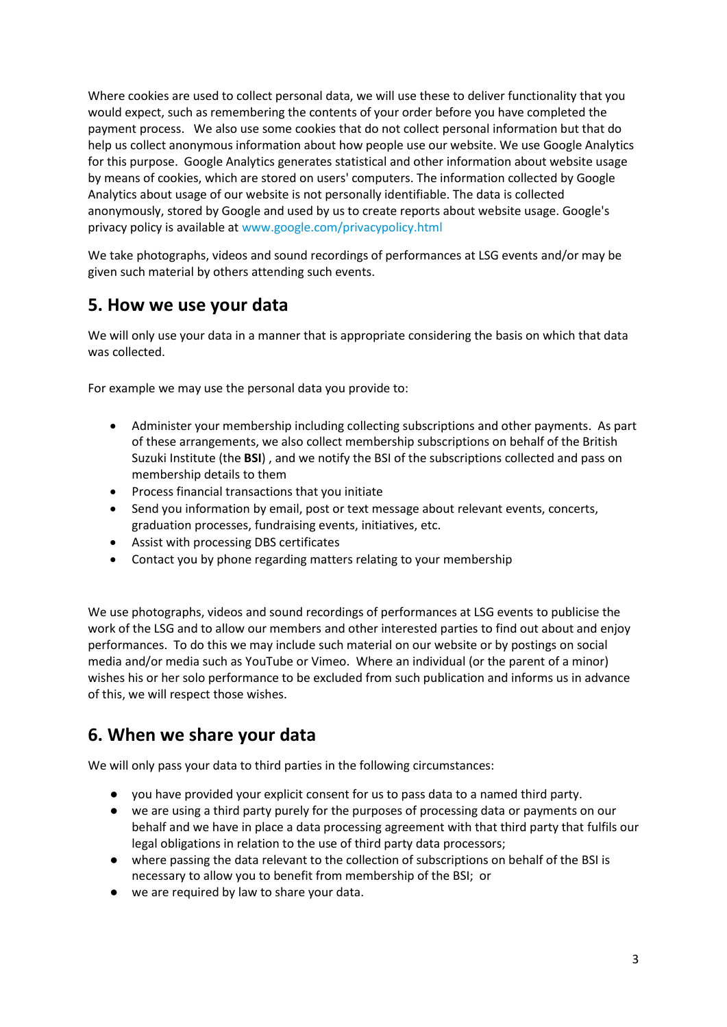Where cookies are used to collect personal data, we will use these to deliver functionality that you would expect, such as remembering the contents of your order before you have completed the payment process. We also use some cookies that do not collect personal information but that do help us collect anonymous information about how people use our website. We use Google Analytics for this purpose. Google Analytics generates statistical and other information about website usage by means of cookies, which are stored on users' computers. The information collected by Google Analytics about usage of our website is not personally identifiable. The data is collected anonymously, stored by Google and used by us to create reports about website usage. Google's privacy policy is available at [www.google.com/privacypolicy.html](http://www.google.com/privacypolicy.html)

We take photographs, videos and sound recordings of performances at LSG events and/or may be given such material by others attending such events.

#### **5. How we use your data**

We will only use your data in a manner that is appropriate considering the basis on which that data was collected.

For example we may use the personal data you provide to:

- Administer your membership including collecting subscriptions and other payments. As part of these arrangements, we also collect membership subscriptions on behalf of the British Suzuki Institute (the **BSI**) , and we notify the BSI of the subscriptions collected and pass on membership details to them
- Process financial transactions that you initiate
- Send you information by email, post or text message about relevant events, concerts, graduation processes, fundraising events, initiatives, etc.
- Assist with processing DBS certificates
- Contact you by phone regarding matters relating to your membership

We use photographs, videos and sound recordings of performances at LSG events to publicise the work of the LSG and to allow our members and other interested parties to find out about and enjoy performances. To do this we may include such material on our website or by postings on social media and/or media such as YouTube or Vimeo. Where an individual (or the parent of a minor) wishes his or her solo performance to be excluded from such publication and informs us in advance of this, we will respect those wishes.

### **6. When we share your data**

We will only pass your data to third parties in the following circumstances:

- you have provided your explicit consent for us to pass data to a named third party.
- we are using a third party purely for the purposes of processing data or payments on our behalf and we have in place a data processing agreement with that third party that fulfils our legal obligations in relation to the use of third party data processors;
- where passing the data relevant to the collection of subscriptions on behalf of the BSI is necessary to allow you to benefit from membership of the BSI; or
- we are required by law to share your data.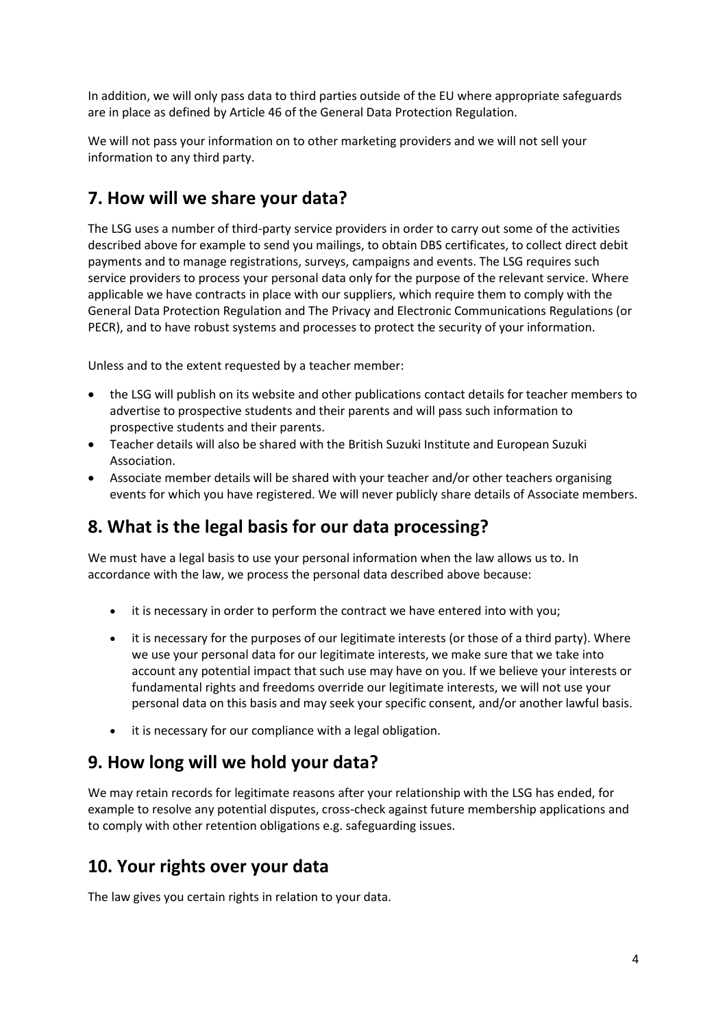In addition, we will only pass data to third parties outside of the EU where appropriate safeguards are in place as defined by Article 46 of the General Data Protection Regulation.

We will not pass your information on to other marketing providers and we will not sell your information to any third party.

## **7. How will we share your data?**

The LSG uses a number of third-party service providers in order to carry out some of the activities described above for example to send you mailings, to obtain DBS certificates, to collect direct debit payments and to manage registrations, surveys, campaigns and events. The LSG requires such service providers to process your personal data only for the purpose of the relevant service. Where applicable we have contracts in place with our suppliers, which require them to comply with the General Data Protection Regulation and The Privacy and Electronic Communications Regulations (or PECR), and to have robust systems and processes to protect the security of your information.

Unless and to the extent requested by a teacher member:

- the LSG will publish on its website and other publications contact details for teacher members to advertise to prospective students and their parents and will pass such information to prospective students and their parents.
- Teacher details will also be shared with the British Suzuki Institute and European Suzuki Association.
- Associate member details will be shared with your teacher and/or other teachers organising events for which you have registered. We will never publicly share details of Associate members.

## **8. What is the legal basis for our data processing?**

We must have a legal basis to use your personal information when the law allows us to. In accordance with the law, we process the personal data described above because:

- it is necessary in order to perform the contract we have entered into with you;
- it is necessary for the purposes of our legitimate interests (or those of a third party). Where we use your personal data for our legitimate interests, we make sure that we take into account any potential impact that such use may have on you. If we believe your interests or fundamental rights and freedoms override our legitimate interests, we will not use your personal data on this basis and may seek your specific consent, and/or another lawful basis.
- it is necessary for our compliance with a legal obligation.

### **9. How long will we hold your data?**

We may retain records for legitimate reasons after your relationship with the LSG has ended, for example to resolve any potential disputes, cross-check against future membership applications and to comply with other retention obligations e.g. safeguarding issues.

### **10. Your rights over your data**

The law gives you certain rights in relation to your data.